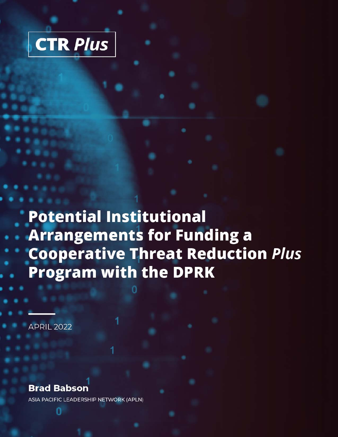

**Potential Institutional Arrangements for Funding a Cooperative Threat Reduction Plus Program with the DPRK** 

**APRIL 2022** 

#### **Brad Babson**

ASIA PACIFIC LEADERSHIP NETWORK (APLN)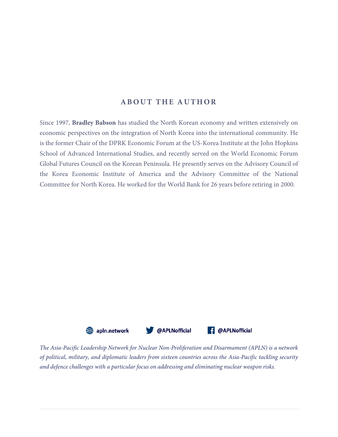#### **ABOUT THE AUTHOR**

Since 1997, **Bradley Babson** has studied the North Korean economy and written extensively on economic perspectives on the integration of North Korea into the international community. He is the former Chair of the DPRK Economic Forum at the US-Korea Institute at the John Hopkins School of Advanced International Studies, and recently served on the World Economic Forum Global Futures Council on the Korean Peninsula. He presently serves on the Advisory Council of the Korea Economic Institute of America and the Advisory Committee of the National Committee for North Korea. He worked for the World Bank for 26 years before retiring in 2000.



*The Asia-Pacific Leadership Network for Nuclear Non-Proliferation and Disarmament (APLN) is a network of political, military, and diplomatic leaders from sixteen countries across the Asia-Pacific tackling security and defence challenges with a particular focus on addressing and eliminating nuclear weapon risks.*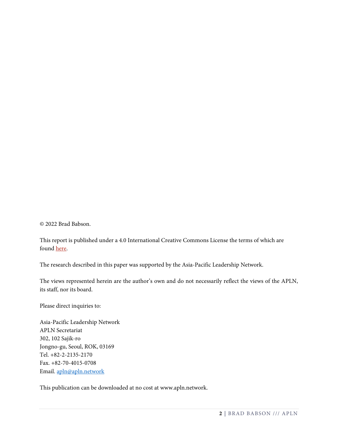© 2022 Brad Babson.

This report is published under a 4.0 International Creative Commons License the terms of which are found [here.](https://creativecommons.org/licenses/by-nc-sa/4.0/) 

The research described in this paper was supported by the Asia-Pacific Leadership Network.

The views represented herein are the author's own and do not necessarily reflect the views of the APLN, its staff, nor its board.

Please direct inquiries to:

Asia-Pacific Leadership Network APLN Secretariat 302, 102 Sajik-ro Jongno-gu, Seoul, ROK, 03169 Tel. +82-2-2135-2170 Fax. +82-70-4015-0708 Email. [apln@apln.network](mailto:apln@apln.network)

This publication can be downloaded at no cost at www.apln.network.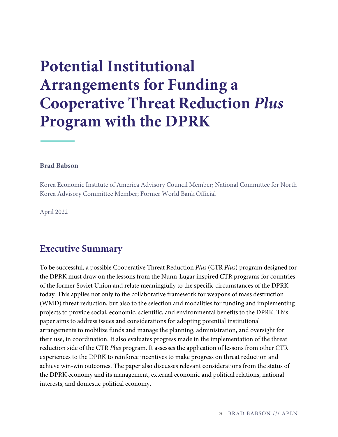# **Potential Institutional Arrangements for Funding a Cooperative Threat Reduction** *Plus* **Program with the DPRK**

#### **Brad Babson**

Korea Economic Institute of America Advisory Council Member; National Committee for North Korea Advisory Committee Member; Former World Bank Official

April 2022

#### **Executive Summary**

To be successful, a possible Cooperative Threat Reduction *Plus* (CTR *Plus*) program designed for the DPRK must draw on the lessons from the Nunn-Lugar inspired CTR programs for countries of the former Soviet Union and relate meaningfully to the specific circumstances of the DPRK today. This applies not only to the collaborative framework for weapons of mass destruction (WMD) threat reduction, but also to the selection and modalities for funding and implementing projects to provide social, economic, scientific, and environmental benefits to the DPRK. This paper aims to address issues and considerations for adopting potential institutional arrangements to mobilize funds and manage the planning, administration, and oversight for their use, in coordination. It also evaluates progress made in the implementation of the threat reduction side of the CTR *Plus* program. It assesses the application of lessons from other CTR experiences to the DPRK to reinforce incentives to make progress on threat reduction and achieve win-win outcomes. The paper also discusses relevant considerations from the status of the DPRK economy and its management, external economic and political relations, national interests, and domestic political economy.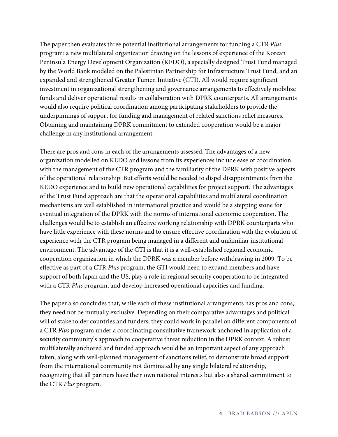The paper then evaluates three potential institutional arrangements for funding a CTR *Plus* program: a new multilateral organization drawing on the lessons of experience of the Korean Peninsula Energy Development Organization (KEDO), a specially designed Trust Fund managed by the World Bank modeled on the Palestinian Partnership for Infrastructure Trust Fund, and an expanded and strengthened Greater Tumen Initiative (GTI). All would require significant investment in organizational strengthening and governance arrangements to effectively mobilize funds and deliver operational results in collaboration with DPRK counterparts. All arrangements would also require political coordination among participating stakeholders to provide the underpinnings of support for funding and management of related sanctions relief measures. Obtaining and maintaining DPRK commitment to extended cooperation would be a major challenge in any institutional arrangement.

There are pros and cons in each of the arrangements assessed. The advantages of a new organization modelled on KEDO and lessons from its experiences include ease of coordination with the management of the CTR program and the familiarity of the DPRK with positive aspects of the operational relationship. But efforts would be needed to dispel disappointments from the KEDO experience and to build new operational capabilities for project support. The advantages of the Trust Fund approach are that the operational capabilities and multilateral coordination mechanisms are well established in international practice and would be a stepping stone for eventual integration of the DPRK with the norms of international economic cooperation. The challenges would be to establish an effective working relationship with DPRK counterparts who have little experience with these norms and to ensure effective coordination with the evolution of experience with the CTR program being managed in a different and unfamiliar institutional environment. The advantage of the GTI is that it is a well-established regional economic cooperation organization in which the DPRK was a member before withdrawing in 2009. To be effective as part of a CTR *Plus* program, the GTI would need to expand members and have support of both Japan and the US, play a role in regional security cooperation to be integrated with a CTR *Plus* program, and develop increased operational capacities and funding.

<span id="page-4-2"></span><span id="page-4-1"></span><span id="page-4-0"></span>The paper also concludes that, while each of these institutional arrangements has pros and cons, they need not be mutually exclusive. Depending on their comparative advantages and political will of stakeholder countries and funders, they could work in parallel on different components of a CTR *Plus* program under a coordinating consultative framework anchored in application of a security community's approach to cooperative threat reduction in the DPRK context. A robust multilaterally anchored and funded approach would be an important aspect of any approach taken, along with well-planned management of sanctions relief, to demonstrate broad support from the international community not dominated by any single bilateral relationship, recognizing that all partners have their own national interests but also a shared commitment to the CTR *Plus* program.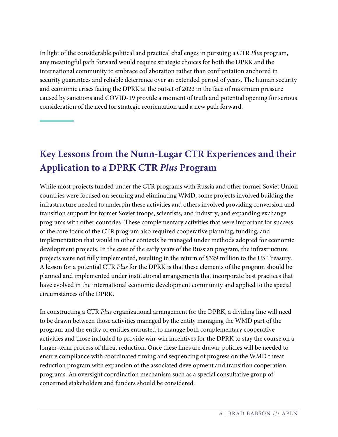<span id="page-5-2"></span><span id="page-5-1"></span><span id="page-5-0"></span>In light of the considerable political and practical challenges in pursuing a CTR *Plus* program, any meaningful path forward would require strategic choices for both the DPRK and the international community to embrace collaboration rather than confrontation anchored in security guarantees and reliable deterrence over an extended period of years. The human security and economic crises facing the DPRK at the outset of 2022 in the face of maximum pressure caused by sanctions and COVID-19 provide a moment of truth and potential opening for serious consideration of the need for strategic reorientation and a new path forward.

# <span id="page-5-5"></span><span id="page-5-4"></span><span id="page-5-3"></span>**Key Lessons from the Nunn-Lugar CTR Experiences and their Application to a DPRK CTR** *Plus* **Program**

<span id="page-5-9"></span><span id="page-5-8"></span><span id="page-5-7"></span><span id="page-5-6"></span>While most projects funded under the CTR programs with Russia and other former Soviet Union countries were focused on securing and eliminating WMD, some projects involved building the infrastructure needed to underpin these activities and others involved providing conversion and transition support for former Soviet troops, scientists, and industry, and expanding exchange programs with other countries<sup>[1](#page-4-0)</sup> These complementary activities that were important for success of the core focus of the CTR program also required cooperative planning, funding, and implementation that would in other contexts be managed under methods adopted for economic development projects. In the case of the early years of the Russian program, the infrastructure projects were not fully implemented, resulting in the return of \$329 million to the US Treasury. A lesson for a potential CTR *Plus* for the DPRK is that these elements of the program should be planned and implemented under institutional arrangements that incorporate best practices that have evolved in the international economic development community and applied to the special circumstances of the DPRK.

<span id="page-5-16"></span><span id="page-5-15"></span><span id="page-5-14"></span><span id="page-5-13"></span><span id="page-5-12"></span><span id="page-5-11"></span><span id="page-5-10"></span>In constructing a CTR *Plus* organizational arrangement for the DPRK, a dividing line will need to be drawn between those activities managed by the entity managing the WMD part of the program and the entity or entities entrusted to manage both complementary cooperative activities and those included to provide win-win incentives for the DPRK to stay the course on a longer-term process of threat reduction. Once these lines are drawn, policies will be needed to ensure compliance with coordinated timing and sequencing of progress on the WMD threat reduction program with expansion of the associated development and transition cooperation programs. An oversight coordination mechanism such as a special consultative group of concerned stakeholders and funders should be considered.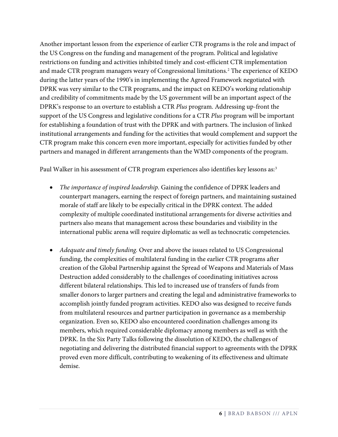Another important lesson from the experience of earlier CTR programs is the role and impact of the US Congress on the funding and management of the program. Political and legislative restrictions on funding and activities inhibited timely and cost-efficient CTR implementation and made CTR program managers weary of Congressional limitations. [2](#page-4-1) The experience of KEDO during the latter years of the 1990's in implementing the Agreed Framework negotiated with DPRK was very similar to the CTR programs, and the impact on KEDO's working relationship and credibility of commitments made by the US government will be an important aspect of the DPRK's response to an overture to establish a CTR *Plus* program. Addressing up-front the support of the US Congress and legislative conditions for a CTR *Plus* program will be important for establishing a foundation of trust with the DPRK and with partners. The inclusion of linked institutional arrangements and funding for the activities that would complement and support the CTR program make this concern even more important, especially for activities funded by other partners and managed in different arrangements than the WMD components of the program.

Paul Walker in his assessment of CTR program experiences also identifies key lessons as: [3](#page-4-2)

- *The importance of inspired leadership.* Gaining the confidence of DPRK leaders and counterpart managers, earning the respect of foreign partners, and maintaining sustained morale of staff are likely to be especially critical in the DPRK context. The added complexity of multiple coordinated institutional arrangements for diverse activities and partners also means that management across these boundaries and visibility in the international public arena will require diplomatic as well as technocratic competencies.
- *Adequate and timely funding.* Over and above the issues related to US Congressional funding, the complexities of multilateral funding in the earlier CTR programs after creation of the Global Partnership against the Spread of Weapons and Materials of Mass Destruction added considerably to the challenges of coordinating initiatives across different bilateral relationships. This led to increased use of transfers of funds from smaller donors to larger partners and creating the legal and administrative frameworks to accomplish jointly funded program activities. KEDO also was designed to receive funds from multilateral resources and partner participation in governance as a membership organization. Even so, KEDO also encountered coordination challenges among its members, which required considerable diplomacy among members as well as with the DPRK. In the Six Party Talks following the dissolution of KEDO, the challenges of negotiating and delivering the distributed financial support to agreements with the DPRK proved even more difficult, contributing to weakening of its effectiveness and ultimate demise.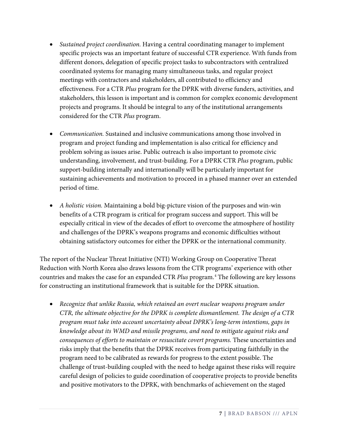- *Sustained project coordination.* Having a central coordinating manager to implement specific projects was an important feature of successful CTR experience. With funds from different donors, delegation of specific project tasks to subcontractors with centralized coordinated systems for managing many simultaneous tasks, and regular project meetings with contractors and stakeholders, all contributed to efficiency and effectiveness. For a CTR *Plus* program for the DPRK with diverse funders, activities, and stakeholders, this lesson is important and is common for complex economic development projects and programs. It should be integral to any of the institutional arrangements considered for the CTR *Plus* program.
- *Communication.* Sustained and inclusive communications among those involved in program and project funding and implementation is also critical for efficiency and problem solving as issues arise. Public outreach is also important to promote civic understanding, involvement, and trust-building. For a DPRK CTR *Plus* program, public support-building internally and internationally will be particularly important for sustaining achievements and motivation to proceed in a phased manner over an extended period of time.
- *A holistic vision.* Maintaining a bold big-picture vision of the purposes and win-win benefits of a CTR program is critical for program success and support. This will be especially critical in view of the decades of effort to overcome the atmosphere of hostility and challenges of the DPRK's weapons programs and economic difficulties without obtaining satisfactory outcomes for either the DPRK or the international community.

The report of the Nuclear Threat Initiative (NTI) Working Group on Cooperative Threat Reduction with North Korea also draws lessons from the CTR programs' experience with other countries and makes the case for an expanded CTR *Plus* program. [4](#page-5-0) The following are key lessons for constructing an institutional framework that is suitable for the DPRK situation.

• *Recognize that unlike Russia, which retained an overt nuclear weapons program under CTR, the ultimate objective for the DPRK is complete dismantlement. The design of a CTR program must take into account uncertainty about DPRK's long-term intentions, gaps in knowledge about its WMD and missile programs, and need to mitigate against risks and consequences of efforts to maintain or resuscitate covert programs.* These uncertainties and risks imply that the benefits that the DPRK receives from participating faithfully in the program need to be calibrated as rewards for progress to the extent possible. The challenge of trust-building coupled with the need to hedge against these risks will require careful design of policies to guide coordination of cooperative projects to provide benefits and positive motivators to the DPRK, with benchmarks of achievement on the staged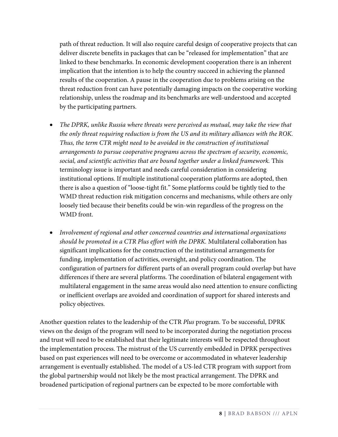path of threat reduction. It will also require careful design of cooperative projects that can deliver discrete benefits in packages that can be "released for implementation" that are linked to these benchmarks. In economic development cooperation there is an inherent implication that the intention is to help the country succeed in achieving the planned results of the cooperation. A pause in the cooperation due to problems arising on the threat reduction front can have potentially damaging impacts on the cooperative working relationship, unless the roadmap and its benchmarks are well-understood and accepted by the participating partners.

- *The DPRK, unlike Russia where threats were perceived as mutual, may take the view that the only threat requiring reduction is from the US and its military alliances with the ROK. Thus, the term CTR might need to be avoided in the construction of institutional arrangements to pursue cooperative programs across the spectrum of security, economic, social, and scientific activities that are bound together under a linked framework.* This terminology issue is important and needs careful consideration in considering institutional options. If multiple institutional cooperation platforms are adopted, then there is also a question of "loose-tight fit." Some platforms could be tightly tied to the WMD threat reduction risk mitigation concerns and mechanisms, while others are only loosely tied because their benefits could be win-win regardless of the progress on the WMD front.
- *Involvement of regional and other concerned countries and international organizations should be promoted in a CTR Plus effort with the DPRK.* Multilateral collaboration has significant implications for the construction of the institutional arrangements for funding, implementation of activities, oversight, and policy coordination. The configuration of partners for different parts of an overall program could overlap but have differences if there are several platforms. The coordination of bilateral engagement with multilateral engagement in the same areas would also need attention to ensure conflicting or inefficient overlaps are avoided and coordination of support for shared interests and policy objectives.

Another question relates to the leadership of the CTR *Plus* program. To be successful, DPRK views on the design of the program will need to be incorporated during the negotiation process and trust will need to be established that their legitimate interests will be respected throughout the implementation process. The mistrust of the US currently embedded in DPRK perspectives based on past experiences will need to be overcome or accommodated in whatever leadership arrangement is eventually established. The model of a US-led CTR program with support from the global partnership would not likely be the most practical arrangement. The DPRK and broadened participation of regional partners can be expected to be more comfortable with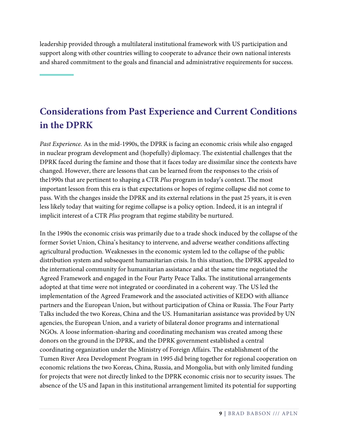leadership provided through a multilateral institutional framework with US participation and support along with other countries willing to cooperate to advance their own national interests and shared commitment to the goals and financial and administrative requirements for success.

# **Considerations from Past Experience and Current Conditions in the DPRK**

*Past Experience.* As in the mid-1990s, the DPRK is facing an economic crisis while also engaged in nuclear program development and (hopefully) diplomacy. The existential challenges that the DPRK faced during the famine and those that it faces today are dissimilar since the contexts have changed. However, there are lessons that can be learned from the responses to the crisis of the1990s that are pertinent to shaping a CTR *Plus* program in today's context. The most important lesson from this era is that expectations or hopes of regime collapse did not come to pass. With the changes inside the DPRK and its external relations in the past 25 years, it is even less likely today that waiting for regime collapse is a policy option. Indeed, it is an integral if implicit interest of a CTR *Plus* program that regime stability be nurtured.

In the 1990s the economic crisis was primarily due to a trade shock induced by the collapse of the former Soviet Union, China's hesitancy to intervene, and adverse weather conditions affecting agricultural production. Weaknesses in the economic system led to the collapse of the public distribution system and subsequent humanitarian crisis. In this situation, the DPRK appealed to the international community for humanitarian assistance and at the same time negotiated the Agreed Framework and engaged in the Four Party Peace Talks. The institutional arrangements adopted at that time were not integrated or coordinated in a coherent way. The US led the implementation of the Agreed Framework and the associated activities of KEDO with alliance partners and the European Union, but without participation of China or Russia. The Four Party Talks included the two Koreas, China and the US. Humanitarian assistance was provided by UN agencies, the European Union, and a variety of bilateral donor programs and international NGOs. A loose information-sharing and coordinating mechanism was created among these donors on the ground in the DPRK, and the DPRK government established a central coordinating organization under the Ministry of Foreign Affairs. The establishment of the Tumen River Area Development Program in 1995 did bring together for regional cooperation on economic relations the two Koreas, China, Russia, and Mongolia, but with only limited funding for projects that were not directly linked to the DPRK economic crisis nor to security issues. The absence of the US and Japan in this institutional arrangement limited its potential for supporting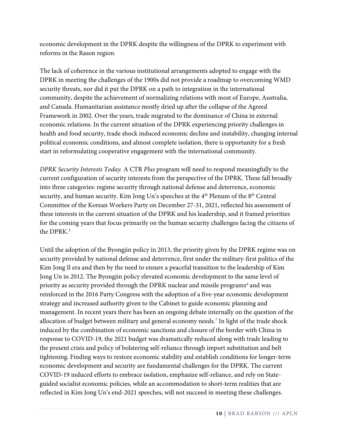economic development in the DPRK despite the willingness of the DPRK to experiment with reforms in the Rason region.

The lack of coherence in the various institutional arrangements adopted to engage with the DPRK in meeting the challenges of the 1900s did not provide a roadmap to overcoming WMD security threats, nor did it put the DPRK on a path to integration in the international community, despite the achievement of normalizing relations with most of Europe, Australia, and Canada. Humanitarian assistance mostly dried up after the collapse of the Agreed Framework in 2002. Over the years, trade migrated to the dominance of China in external economic relations. In the current situation of the DPRK experiencing priority challenges in health and food security, trade shock induced economic decline and instability, changing internal political economic conditions, and almost complete isolation, there is opportunity for a fresh start in reformulating cooperative engagement with the international community.

*DPRK Security Interests Today.* A CTR *Plus* program will need to respond meaningfully to the current configuration of security interests from the perspective of the DPRK. These fall broadly into three categories: regime security through national defense and deterrence, economic security, and human security. Kim Jong Un's speeches at the 4<sup>th</sup> Plenum of the 8<sup>th</sup> Central Committee of the Korean Workers Party on December 27-31, 2021, reflected his assessment of these interests in the current situation of the DPRK and his leadership, and it framed priorities for the coming years that focus primarily on the human security challenges facing the citizens of the DPRK. [5](#page-5-1)

Until the adoption of the Byongjin policy in 2013, the priority given by the DPRK regime was on security provided by national defense and deterrence, first under the military-first politics of the Kim Jong Il era and then by the need to ensure a peaceful transition to the leadership of Kim Jong Un in 2012. The Byongjin policy elevated economic development to the same level of priority as security provided through the DPRK nuclear and missile programs<sup>[6](#page-5-2)</sup> and was reinforced in the 2016 Party Congress with the adoption of a five-year economic development strategy and increased authority given to the Cabinet to guide economic planning and management. In recent years there has been an ongoing debate internally on the question of the allocation of budget between military and general economy needs. [7](#page-5-3) In light of the trade shock induced by the combination of economic sanctions and closure of the border with China in response to COVID-19, the 2021 budget was dramatically reduced along with trade leading to the present crisis and policy of bolstering self-reliance through import substitution and belt tightening. Finding ways to restore economic stability and establish conditions for longer-term economic development and security are fundamental challenges for the DPRK. The current COVID-19 induced efforts to embrace isolation, emphasize self-reliance, and rely on Stateguided socialist economic policies, while an accommodation to short-term realities that are reflected in Kim Jong Un's end-2021 speeches, will not succeed in meeting these challenges.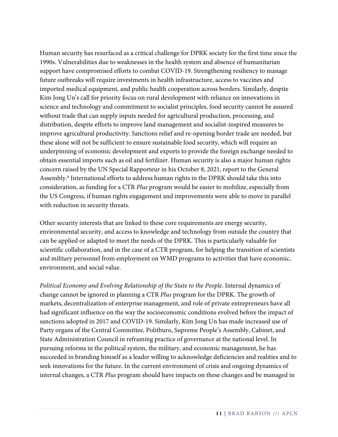Human security has resurfaced as a critical challenge for DPRK society for the first time since the 1990s. Vulnerabilities due to weaknesses in the health system and absence of humanitarian support have compromised efforts to combat COVID-19. Strengthening resiliency to manage future outbreaks will require investments in health infrastructure, access to vaccines and imported medical equipment, and public health cooperation across borders. Similarly, despite Kim Jong Un's call for priority focus on rural development with reliance on innovations in science and technology and commitment to socialist principles, food security cannot be assured without trade that can supply inputs needed for agricultural production, processing, and distribution, despite efforts to improve land management and socialist-inspired measures to improve agricultural productivity. Sanctions relief and re-opening border trade are needed, but these alone will not be sufficient to ensure sustainable food security, which will require an underpinning of economic development and exports to provide the foreign exchange needed to obtain essential imports such as oil and fertilizer. Human security is also a major human rights concern raised by the UN Special Rapporteur in his October 8, 2021, report to the General Assembly. [8](#page-5-4) International efforts to address human rights in the DPRK should take this into consideration, as funding for a CTR *Plus* program would be easier to mobilize, especially from the US Congress, if human rights engagement and improvements were able to move in parallel with reduction in security threats.

Other security interests that are linked to these core requirements are energy security, environmental security, and access to knowledge and technology from outside the country that can be applied or adapted to meet the needs of the DPRK. This is particularly valuable for scientific collaboration, and in the case of a CTR program, for helping the transition of scientists and military personnel from employment on WMD programs to activities that have economic, environment, and social value.

*Political Economy and Evolving Relationship of the State to the People*. Internal dynamics of change cannot be ignored in planning a CTR *Plus* program for the DPRK. The growth of markets, decentralization of enterprise management, and role of private entrepreneurs have all had significant influence on the way the socioeconomic conditions evolved before the impact of sanctions adopted in 2017 and COVID-19. Similarly, Kim Jong Un has made increased use of Party organs of the Central Committee, Politburo, Supreme People's Assembly, Cabinet, and State Administration Council in reframing practice of governance at the national level. In pursuing reforms in the political system, the military, and economic management, he has succeeded in branding himself as a leader willing to acknowledge deficiencies and realities and to seek innovations for the future. In the current environment of crisis and ongoing dynamics of internal changes, a CTR *Plus* program should have impacts on these changes and be managed in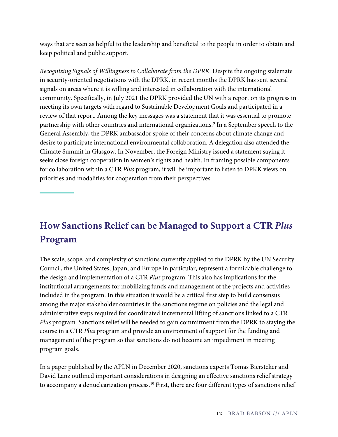ways that are seen as helpful to the leadership and beneficial to the people in order to obtain and keep political and public support.

*Recognizing Signals of Willingness to Collaborate from the DPRK.* Despite the ongoing stalemate in security-oriented negotiations with the DPRK, in recent months the DPRK has sent several signals on areas where it is willing and interested in collaboration with the international community. Specifically, in July 2021 the DPRK provided the UN with a report on its progress in meeting its own targets with regard to Sustainable Development Goals and participated in a review of that report. Among the key messages was a statement that it was essential to promote partnership with other countries and international organizations.<sup>[9](#page-5-5)</sup> In a September speech to the General Assembly, the DPRK ambassador spoke of their concerns about climate change and desire to participate international environmental collaboration. A delegation also attended the Climate Summit in Glasgow. In November, the Foreign Ministry issued a statement saying it seeks close foreign cooperation in women's rights and health. In framing possible components for collaboration within a CTR *Plus* program, it will be important to listen to DPKK views on priorities and modalities for cooperation from their perspectives.

# **How Sanctions Relief can be Managed to Support a CTR** *Plus* **Program**

The scale, scope, and complexity of sanctions currently applied to the DPRK by the UN Security Council, the United States, Japan, and Europe in particular, represent a formidable challenge to the design and implementation of a CTR *Plus* program. This also has implications for the institutional arrangements for mobilizing funds and management of the projects and activities included in the program. In this situation it would be a critical first step to build consensus among the major stakeholder countries in the sanctions regime on policies and the legal and administrative steps required for coordinated incremental lifting of sanctions linked to a CTR *Plus* program. Sanctions relief will be needed to gain commitment from the DPRK to staying the course in a CTR *Plus* program and provide an environment of support for the funding and management of the program so that sanctions do not become an impediment in meeting program goals.

In a paper published by the APLN in December 2020, sanctions experts Tomas Biersteker and David Lanz outlined important considerations in designing an effective sanctions relief strategy to accompany a denuclearization process. [10](#page-5-6) First, there are four different types of sanctions relief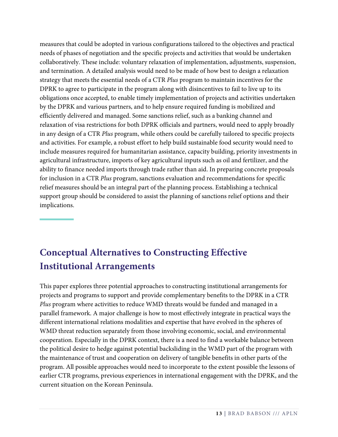measures that could be adopted in various configurations tailored to the objectives and practical needs of phases of negotiation and the specific projects and activities that would be undertaken collaboratively. These include: voluntary relaxation of implementation, adjustments, suspension, and termination. A detailed analysis would need to be made of how best to design a relaxation strategy that meets the essential needs of a CTR *Plus* program to maintain incentives for the DPRK to agree to participate in the program along with disincentives to fail to live up to its obligations once accepted, to enable timely implementation of projects and activities undertaken by the DPRK and various partners, and to help ensure required funding is mobilized and efficiently delivered and managed. Some sanctions relief, such as a banking channel and relaxation of visa restrictions for both DPRK officials and partners, would need to apply broadly in any design of a CTR *Plus* program, while others could be carefully tailored to specific projects and activities. For example, a robust effort to help build sustainable food security would need to include measures required for humanitarian assistance, capacity building, priority investments in agricultural infrastructure, imports of key agricultural inputs such as oil and fertilizer, and the ability to finance needed imports through trade rather than aid. In preparing concrete proposals for inclusion in a CTR *Plus* program, sanctions evaluation and recommendations for specific relief measures should be an integral part of the planning process. Establishing a technical support group should be considered to assist the planning of sanctions relief options and their implications.

# **Conceptual Alternatives to Constructing Effective Institutional Arrangements**

This paper explores three potential approaches to constructing institutional arrangements for projects and programs to support and provide complementary benefits to the DPRK in a CTR *Plus* program where activities to reduce WMD threats would be funded and managed in a parallel framework. A major challenge is how to most effectively integrate in practical ways the different international relations modalities and expertise that have evolved in the spheres of WMD threat reduction separately from those involving economic, social, and environmental cooperation. Especially in the DPRK context, there is a need to find a workable balance between the political desire to hedge against potential backsliding in the WMD part of the program with the maintenance of trust and cooperation on delivery of tangible benefits in other parts of the program. All possible approaches would need to incorporate to the extent possible the lessons of earlier CTR programs, previous experiences in international engagement with the DPRK, and the current situation on the Korean Peninsula.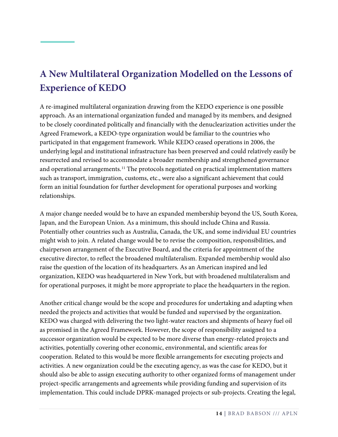# **A New Multilateral Organization Modelled on the Lessons of Experience of KEDO**

A re-imagined multilateral organization drawing from the KEDO experience is one possible approach. As an international organization funded and managed by its members, and designed to be closely coordinated politically and financially with the denuclearization activities under the Agreed Framework, a KEDO-type organization would be familiar to the countries who participated in that engagement framework. While KEDO ceased operations in 2006, the underlying legal and institutional infrastructure has been preserved and could relatively easily be resurrected and revised to accommodate a broader membership and strengthened governance and operational arrangements. [11](#page-5-7) The protocols negotiated on practical implementation matters such as transport, immigration, customs, etc., were also a significant achievement that could form an initial foundation for further development for operational purposes and working relationships.

A major change needed would be to have an expanded membership beyond the US, South Korea, Japan, and the European Union. As a minimum, this should include China and Russia. Potentially other countries such as Australia, Canada, the UK, and some individual EU countries might wish to join. A related change would be to revise the composition, responsibilities, and chairperson arrangement of the Executive Board, and the criteria for appointment of the executive director, to reflect the broadened multilateralism. Expanded membership would also raise the question of the location of its headquarters. As an American inspired and led organization, KEDO was headquartered in New York, but with broadened multilateralism and for operational purposes, it might be more appropriate to place the headquarters in the region.

Another critical change would be the scope and procedures for undertaking and adapting when needed the projects and activities that would be funded and supervised by the organization. KEDO was charged with delivering the two light-water reactors and shipments of heavy fuel oil as promised in the Agreed Framework. However, the scope of responsibility assigned to a successor organization would be expected to be more diverse than energy-related projects and activities, potentially covering other economic, environmental, and scientific areas for cooperation. Related to this would be more flexible arrangements for executing projects and activities. A new organization could be the executing agency, as was the case for KEDO, but it should also be able to assign executing authority to other organized forms of management under project-specific arrangements and agreements while providing funding and supervision of its implementation. This could include DPRK-managed projects or sub-projects. Creating the legal,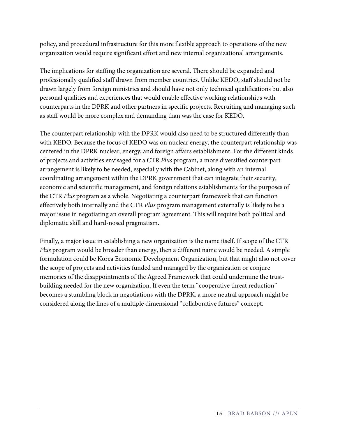policy, and procedural infrastructure for this more flexible approach to operations of the new organization would require significant effort and new internal organizational arrangements.

The implications for staffing the organization are several. There should be expanded and professionally qualified staff drawn from member countries. Unlike KEDO, staff should not be drawn largely from foreign ministries and should have not only technical qualifications but also personal qualities and experiences that would enable effective working relationships with counterparts in the DPRK and other partners in specific projects. Recruiting and managing such as staff would be more complex and demanding than was the case for KEDO.

The counterpart relationship with the DPRK would also need to be structured differently than with KEDO. Because the focus of KEDO was on nuclear energy, the counterpart relationship was centered in the DPRK nuclear, energy, and foreign affairs establishment. For the different kinds of projects and activities envisaged for a CTR *Plus* program, a more diversified counterpart arrangement is likely to be needed, especially with the Cabinet, along with an internal coordinating arrangement within the DPRK government that can integrate their security, economic and scientific management, and foreign relations establishments for the purposes of the CTR *Plus* program as a whole. Negotiating a counterpart framework that can function effectively both internally and the CTR *Plus* program management externally is likely to be a major issue in negotiating an overall program agreement. This will require both political and diplomatic skill and hard-nosed pragmatism.

Finally, a major issue in establishing a new organization is the name itself. If scope of the CTR *Plus* program would be broader than energy, then a different name would be needed. A simple formulation could be Korea Economic Development Organization, but that might also not cover the scope of projects and activities funded and managed by the organization or conjure memories of the disappointments of the Agreed Framework that could undermine the trustbuilding needed for the new organization. If even the term "cooperative threat reduction" becomes a stumbling block in negotiations with the DPRK, a more neutral approach might be considered along the lines of a multiple dimensional "collaborative futures" concept.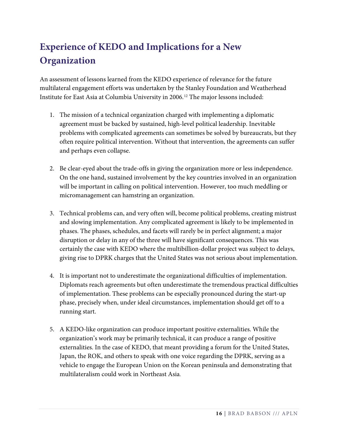# **Experience of KEDO and Implications for a New Organization**

An assessment of lessons learned from the KEDO experience of relevance for the future multilateral engagement efforts was undertaken by the Stanley Foundation and Weatherhead Institute for East Asia at Columbia University in 2006. [12](#page-5-8) The major lessons included:

- 1. The mission of a technical organization charged with implementing a diplomatic agreement must be backed by sustained, high-level political leadership. Inevitable problems with complicated agreements can sometimes be solved by bureaucrats, but they often require political intervention. Without that intervention, the agreements can suffer and perhaps even collapse.
- 2. Be clear-eyed about the trade-offs in giving the organization more or less independence. On the one hand, sustained involvement by the key countries involved in an organization will be important in calling on political intervention. However, too much meddling or micromanagement can hamstring an organization.
- 3. Technical problems can, and very often will, become political problems, creating mistrust and slowing implementation. Any complicated agreement is likely to be implemented in phases. The phases, schedules, and facets will rarely be in perfect alignment; a major disruption or delay in any of the three will have significant consequences. This was certainly the case with KEDO where the multibillion-dollar project was subject to delays, giving rise to DPRK charges that the United States was not serious about implementation.
- 4. It is important not to underestimate the organizational difficulties of implementation. Diplomats reach agreements but often underestimate the tremendous practical difficulties of implementation. These problems can be especially pronounced during the start-up phase, precisely when, under ideal circumstances, implementation should get off to a running start.
- 5. A KEDO-like organization can produce important positive externalities. While the organization's work may be primarily technical, it can produce a range of positive externalities. In the case of KEDO, that meant providing a forum for the United States, Japan, the ROK, and others to speak with one voice regarding the DPRK, serving as a vehicle to engage the European Union on the Korean peninsula and demonstrating that multilateralism could work in Northeast Asia.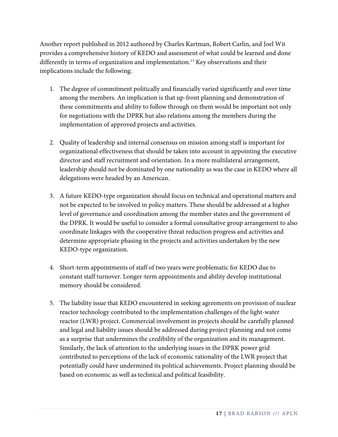Another report published in 2012 authored by Charles Kartman, Robert Carlin, and Joel Wit provides a comprehensive history of KEDO and assessment of what could be learned and done differently in terms of organization and implementation. [13](#page-5-9) Key observations and their implications include the following:

- 1. The degree of commitment politically and financially varied significantly and over time among the members. An implication is that up-front planning and demonstration of these commitments and ability to follow through on them would be important not only for negotiations with the DPRK but also relations among the members during the implementation of approved projects and activities.
- 2. Quality of leadership and internal consensus on mission among staff is important for organizational effectiveness that should be taken into account in appointing the executive director and staff recruitment and orientation. In a more multilateral arrangement, leadership should not be dominated by one nationality as was the case in KEDO where all delegations were headed by an American.
- 3. A future KEDO-type organization should focus on technical and operational matters and not be expected to be involved in policy matters. These should be addressed at a higher level of governance and coordination among the member states and the government of the DPRK. It would be useful to consider a formal consultative group arrangement to also coordinate linkages with the cooperative threat reduction progress and activities and determine appropriate phasing in the projects and activities undertaken by the new KEDO-type organization.
- 4. Short-term appointments of staff of two years were problematic for KEDO due to constant staff turnover. Longer-term appointments and ability develop institutional memory should be considered.
- 5. The liability issue that KEDO encountered in seeking agreements on provision of nuclear reactor technology contributed to the implementation challenges of the light-water reactor (LWR) project. Commercial involvement in projects should be carefully planned and legal and liability issues should be addressed during project planning and not come as a surprise that undermines the credibility of the organization and its management. Similarly, the lack of attention to the underlying issues in the DPRK power grid contributed to perceptions of the lack of economic rationality of the LWR project that potentially could have undermined its political achievements. Project planning should be based on economic as well as technical and political feasibility.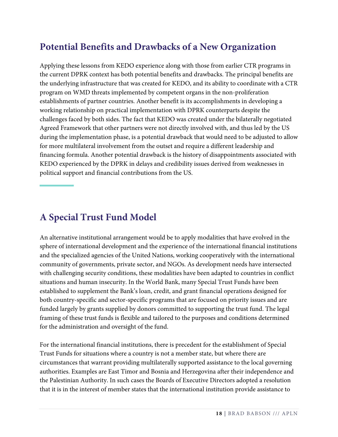## **Potential Benefits and Drawbacks of a New Organization**

Applying these lessons from KEDO experience along with those from earlier CTR programs in the current DPRK context has both potential benefits and drawbacks. The principal benefits are the underlying infrastructure that was created for KEDO, and its ability to coordinate with a CTR program on WMD threats implemented by competent organs in the non-proliferation establishments of partner countries. Another benefit is its accomplishments in developing a working relationship on practical implementation with DPRK counterparts despite the challenges faced by both sides. The fact that KEDO was created under the bilaterally negotiated Agreed Framework that other partners were not directly involved with, and thus led by the US during the implementation phase, is a potential drawback that would need to be adjusted to allow for more multilateral involvement from the outset and require a different leadership and financing formula. Another potential drawback is the history of disappointments associated with KEDO experienced by the DPRK in delays and credibility issues derived from weaknesses in political support and financial contributions from the US.

#### **A Special Trust Fund Model**

An alternative institutional arrangement would be to apply modalities that have evolved in the sphere of international development and the experience of the international financial institutions and the specialized agencies of the United Nations, working cooperatively with the international community of governments, private sector, and NGOs. As development needs have intersected with challenging security conditions, these modalities have been adapted to countries in conflict situations and human insecurity. In the World Bank, many Special Trust Funds have been established to supplement the Bank's loan, credit, and grant financial operations designed for both country-specific and sector-specific programs that are focused on priority issues and are funded largely by grants supplied by donors committed to supporting the trust fund. The legal framing of these trust funds is flexible and tailored to the purposes and conditions determined for the administration and oversight of the fund.

For the international financial institutions, there is precedent for the establishment of Special Trust Funds for situations where a country is not a member state, but where there are circumstances that warrant providing multilaterally supported assistance to the local governing authorities. Examples are East Timor and Bosnia and Herzegovina after their independence and the Palestinian Authority. In such cases the Boards of Executive Directors adopted a resolution that it is in the interest of member states that the international institution provide assistance to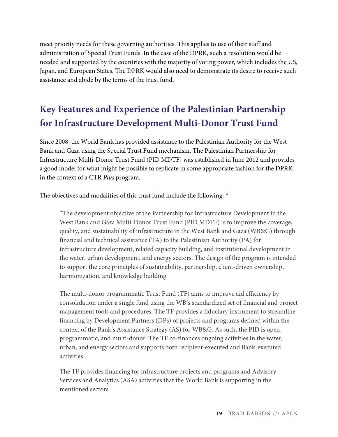meet priority needs for these governing authorities. This applies to use of their staff and administration of Special Trust Funds. In the case of the DPRK, such a resolution would be needed and supported by the countries with the majority of voting power, which includes the US, Japan, and European States. The DPRK would also need to demonstrate its desire to receive such assistance and abide by the terms of the trust fund.

# **Key Features and Experience of the Palestinian Partnership for Infrastructure Development Multi-Donor Trust Fund**

Since 2008, the World Bank has provided assistance to the Palestinian Authority for the West Bank and Gaza using the Special Trust Fund mechanism. The Palestinian Partnership for Infrastructure Multi-Donor Trust Fund (PID MDTF) was established in June 2012 and provides a good model for what might be possible to replicate in some appropriate fashion for the DPRK in the context of a CTR *Plus* program.

The objectives and modalities of this trust fund include the following:<sup>[14](#page-5-10)</sup>

"The development objective of the Partnership for Infrastructure Development in the West Bank and Gaza Multi-Donor Trust Fund (PID MDTF) is to improve the coverage, quality, and sustainability of infrastructure in the West Bank and Gaza (WB&G) through financial and technical assistance (TA) to the Palestinian Authority (PA) for infrastructure development, related capacity building, and institutional development in the water, urban development, and energy sectors. The design of the program is intended to support the core principles of sustainability, partnership, client-driven ownership, harmonization, and knowledge building.

The multi-donor programmatic Trust Fund (TF) aims to improve aid efficiency by consolidation under a single fund using the WB's standardized set of financial and project management tools and procedures. The TF provides a fiduciary instrument to streamline financing by Development Partners (DPs) of projects and programs defined within the context of the Bank's Assistance Strategy (AS) for WB&G. As such, the PID is open, programmatic, and multi-donor. The TF co-finances ongoing activities in the water, urban, and energy sectors and supports both recipient-executed and Bank-executed activities.

The TF provides financing for infrastructure projects and programs and Advisory Services and Analytics (ASA) activities that the World Bank is supporting in the mentioned sectors.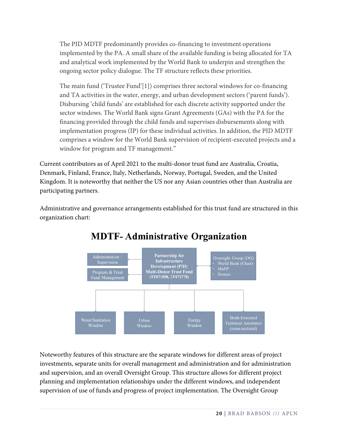The PID MDTF predominantly provides co-financing to investment operations implemented by the PA. A small share of the available funding is being allocated for TA and analytical work implemented by the World Bank to underpin and strengthen the ongoing sector policy dialogue. The TF structure reflects these priorities.

The main fund ('Trustee Fund'[1]) comprises three sectoral windows for co-financing and TA activities in the water, energy, and urban development sectors ('parent funds'). Disbursing 'child funds' are established for each discrete activity supported under the sector windows. The World Bank signs Grant Agreements (GAs) with the PA for the financing provided through the child funds and supervises disbursements along with implementation progress (IP) for these individual activities. In addition, the PID MDTF comprises a window for the World Bank supervision of recipient-executed projects and a window for program and TF management."

Current contributors as of April 2021 to the multi-donor trust fund are Australia, Croatia, Denmark, Finland, France, Italy, Netherlands, Norway, Portugal, Sweden, and the United Kingdom. It is noteworthy that neither the US nor any Asian countries other than Australia are participating partners.

Administrative and governance arrangements established for this trust fund are structured in this organization chart:



### **MDTF-Administrative Organization**

Noteworthy features of this structure are the separate windows for different areas of project investments, separate units for overall management and administration and for administration and supervision, and an overall Oversight Group. This structure allows for different project planning and implementation relationships under the different windows, and independent supervision of use of funds and progress of project implementation. The Oversight Group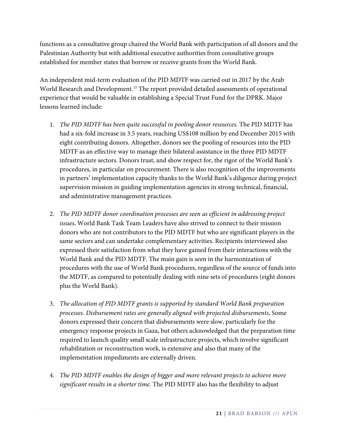functions as a consultative group chaired the World Bank with participation of all donors and the Palestinian Authority but with additional executive authorities from consultative groups established for member states that borrow or receive grants from the World Bank.

An independent mid-term evaluation of the PID MDTF was carried out in 2017 by the Arab World Research and Development.<sup>[15](#page-5-11)</sup> The report provided detailed assessments of operational experience that would be valuable in establishing a Special Trust Fund for the DPRK. Major lessons learned include:

- 1. *The PID MDTF has been quite successful in pooling donor resources*. The PID MDTF has had a six-fold increase in 3.5 years, reaching US\$108 million by end December 2015 with eight contributing donors. Altogether, donors see the pooling of resources into the PID MDTF as an effective way to manage their bilateral assistance in the three PID MDTF infrastructure sectors. Donors trust, and show respect for, the rigor of the World Bank's procedures, in particular on procurement. There is also recognition of the improvements in partners' implementation capacity thanks to the World Bank's diligence during project supervision mission in guiding implementation agencies in strong technical, financial, and administrative management practices.
- 2. *The PID MDTF donor coordination processes are seen as efficient in addressing project issues***.** World Bank Task Team Leaders have also strived to connect to their mission donors who are not contributors to the PID MDTF but who are significant players in the same sectors and can undertake complementary activities. Recipients interviewed also expressed their satisfaction from what they have gained from their interactions with the World Bank and the PID MDTF. The main gain is seen in the harmonization of procedures with the use of World Bank procedures, regardless of the source of funds into the MDTF, as compared to potentially dealing with nine sets of procedures (eight donors plus the World Bank).
- 3. *The allocation of PID MDTF grants is supported by standard World Bank preparation processes. Disbursement rates are generally aligned with projected disbursements***.** Some donors expressed their concern that disbursements were slow, particularly for the emergency response projects in Gaza, but others acknowledged that the preparation time required to launch quality small scale infrastructure projects, which involve significant rehabilitation or reconstruction work, is extensive and also that many of the implementation impediments are externally driven.
- 4. *The PID MDTF enables the design of bigger and more relevant projects to achieve more significant results in a shorter time.* The PID MDTF also has the flexibility to adjust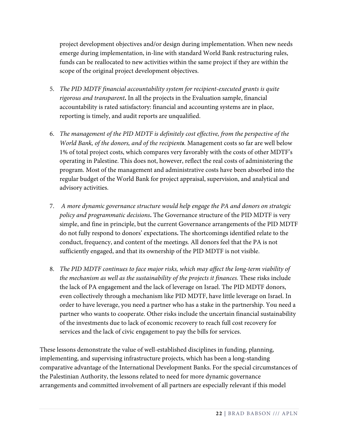project development objectives and/or design during implementation. When new needs emerge during implementation, in-line with standard World Bank restructuring rules, funds can be reallocated to new activities within the same project if they are within the scope of the original project development objectives.

- 5. *The PID MDTF financial accountability system for recipient-executed grants is quite rigorous and transparent***.** In all the projects in the Evaluation sample, financial accountability is rated satisfactory: financial and accounting systems are in place, reporting is timely, and audit reports are unqualified.
- 6. *The management of the PID MDTF is definitely cost effective, from the perspective of the World Bank, of the donors, and of the recipients.* Management costs so far are well below 1% of total project costs, which compares very favorably with the costs of other MDTF's operating in Palestine. This does not, however, reflect the real costs of administering the program. Most of the management and administrative costs have been absorbed into the regular budget of the World Bank for project appraisal, supervision, and analytical and advisory activities.
- 7. *A more dynamic governance structure would help engage the PA and donors on strategic policy and programmatic decisions***.** The Governance structure of the PID MDTF is very simple, and fine in principle, but the current Governance arrangements of the PID MDTF do not fully respond to donors' expectations**.** The shortcomings identified relate to the conduct, frequency, and content of the meetings. All donors feel that the PA is not sufficiently engaged, and that its ownership of the PID MDTF is not visible.
- 8. *The PID MDTF continues to face major risks, which may affect the long-term viability of the mechanism as well as the sustainability of the projects it finances.* These risks include the lack of PA engagement and the lack of leverage on Israel. The PID MDTF donors, even collectively through a mechanism like PID MDTF, have little leverage on Israel. In order to have leverage, you need a partner who has a stake in the partnership. You need a partner who wants to cooperate. Other risks include the uncertain financial sustainability of the investments due to lack of economic recovery to reach full cost recovery for services and the lack of civic engagement to pay the bills for services.

These lessons demonstrate the value of well-established disciplines in funding, planning, implementing, and supervising infrastructure projects, which has been a long-standing comparative advantage of the International Development Banks. For the special circumstances of the Palestinian Authority, the lessons related to need for more dynamic governance arrangements and committed involvement of all partners are especially relevant if this model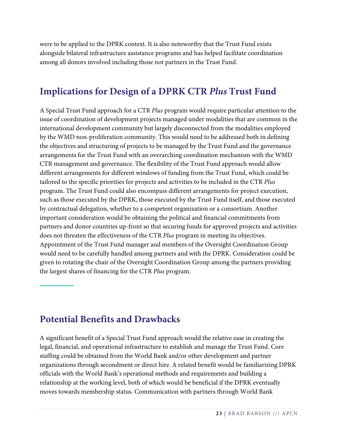were to be applied to the DPRK context. It is also noteworthy that the Trust Fund exists alongside bilateral infrastructure assistance programs and has helped facilitate coordination among all donors involved including those not partners in the Trust Fund.

#### **Implications for Design of a DPRK CTR** *Plus* **Trust Fund**

A Special Trust Fund approach for a CTR *Plus* program would require particular attention to the issue of coordination of development projects managed under modalities that are common in the international development community but largely disconnected from the modalities employed by the WMD non-proliferation community. This would need to be addressed both in defining the objectives and structuring of projects to be managed by the Trust Fund and the governance arrangements for the Trust Fund with an overarching coordination mechanism with the WMD CTR management and governance. The flexibility of the Trust Fund approach would allow different arrangements for different windows of funding from the Trust Fund, which could be tailored to the specific priorities for projects and activities to be included in the CTR *Plus* program. The Trust Fund could also encompass different arrangements for project execution, such as those executed by the DPRK, those executed by the Trust Fund itself, and those executed by contractual delegation, whether to a competent organization or a consortium. Another important consideration would be obtaining the political and financial commitments from partners and donor countries up-front so that securing funds for approved projects and activities does not threaten the effectiveness of the CTR *Plus* program in meeting its objectives. Appointment of the Trust Fund manager and members of the Oversight Coordination Group would need to be carefully handled among partners and with the DPRK. Consideration could be given to rotating the chair of the Oversight Coordination Group among the partners providing the largest shares of financing for the CTR *Plus* program.

#### **Potential Benefits and Drawbacks**

A significant benefit of a Special Trust Fund approach would the relative ease in creating the legal, financial, and operational infrastructure to establish and manage the Trust Fund. Core staffing could be obtained from the World Bank and/or other development and partner organizations through secondment or direct hire. A related benefit would be familiarizing DPRK officials with the World Bank's operational methods and requirements and building a relationship at the working level, both of which would be beneficial if the DPRK eventually moves towards membership status. Communication with partners through World Bank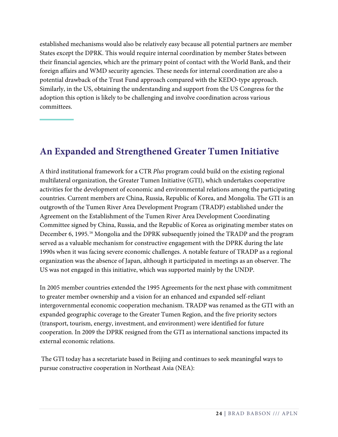established mechanisms would also be relatively easy because all potential partners are member States except the DPRK. This would require internal coordination by member States between their financial agencies, which are the primary point of contact with the World Bank, and their foreign affairs and WMD security agencies. These needs for internal coordination are also a potential drawback of the Trust Fund approach compared with the KEDO-type approach. Similarly, in the US, obtaining the understanding and support from the US Congress for the adoption this option is likely to be challenging and involve coordination across various committees.

#### **An Expanded and Strengthened Greater Tumen Initiative**

A third institutional framework for a CTR *Plus* program could build on the existing regional multilateral organization, the Greater Tumen Initiative (GTI), which undertakes cooperative activities for the development of economic and environmental relations among the participating countries. Current members are China, Russia, Republic of Korea, and Mongolia. The GTI is an outgrowth of the Tumen River Area Development Program (TRADP) established under the Agreement on the Establishment of the Tumen River Area Development Coordinating Committee signed by China, Russia, and the Republic of Korea as originating member states on December 6, 1995.<sup>[16](#page-5-12)</sup> Mongolia and the DPRK subsequently joined the TRADP and the program served as a valuable mechanism for constructive engagement with the DPRK during the late 1990s when it was facing severe economic challenges. A notable feature of TRADP as a regional organization was the absence of Japan, although it participated in meetings as an observer. The US was not engaged in this initiative, which was supported mainly by the UNDP.

In 2005 member countries extended the 1995 Agreements for the next phase with commitment to greater member ownership and a vision for an enhanced and expanded self-reliant intergovernmental economic cooperation mechanism. TRADP was renamed as the GTI with an expanded geographic coverage to the Greater Tumen Region, and the five priority sectors (transport, tourism, energy, investment, and environment) were identified for future cooperation. In 2009 the DPRK resigned from the GTI as international sanctions impacted its external economic relations.

The GTI today has a secretariate based in Beijing and continues to seek meaningful ways to pursue constructive cooperation in Northeast Asia (NEA):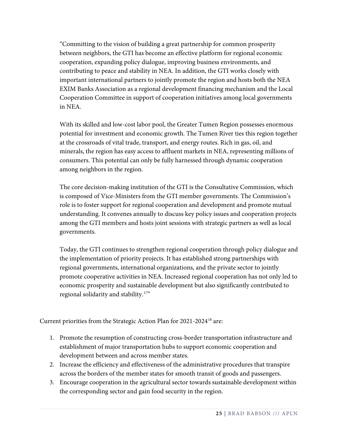"Committing to the vision of building a great partnership for common prosperity between neighbors, the GTI has become an effective platform for regional economic cooperation, expanding policy dialogue, improving business environments, and contributing to peace and stability in NEA. In addition, the GTI works closely with important international partners to jointly promote the region and hosts both the NEA EXIM Banks Association as a regional development financing mechanism and the Local Cooperation Committee in support of cooperation initiatives among local governments in NEA.

With its skilled and low-cost labor pool, the Greater Tumen Region possesses enormous potential for investment and economic growth. The Tumen River ties this region together at the crossroads of vital trade, transport, and energy routes. Rich in gas, oil, and minerals, the region has easy access to affluent markets in NEA, representing millions of consumers. This potential can only be fully harnessed through dynamic cooperation among neighbors in the region.

The core decision-making institution of the GTI is the Consultative Commission, which is composed of Vice-Ministers from the GTI member governments. The Commission's role is to foster support for regional cooperation and development and promote mutual understanding. It convenes annually to discuss key policy issues and cooperation projects among the GTI members and hosts joint sessions with strategic partners as well as local governments.

Today, the GTI continues to strengthen regional cooperation through policy dialogue and the implementation of priority projects. It has established strong partnerships with regional governments, international organizations, and the private sector to jointly promote cooperative activities in NEA. Increased regional cooperation has not only led to economic prosperity and sustainable development but also significantly contributed to regional solidarity and stability.[17"](#page-5-13)

Current priorities from the Strategic Action Plan for 2021-2024[18](#page-5-14) are:

- 1. Promote the resumption of constructing cross-border transportation infrastructure and establishment of major transportation hubs to support economic cooperation and development between and across member states.
- 2. Increase the efficiency and effectiveness of the administrative procedures that transpire across the borders of the member states for smooth transit of goods and passengers.
- 3. Encourage cooperation in the agricultural sector towards sustainable development within the corresponding sector and gain food security in the region.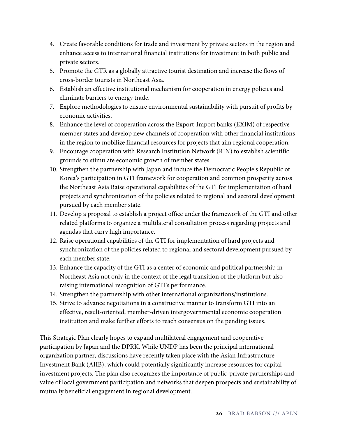- 4. Create favorable conditions for trade and investment by private sectors in the region and enhance access to international financial institutions for investment in both public and private sectors.
- 5. Promote the GTR as a globally attractive tourist destination and increase the flows of cross-border tourists in Northeast Asia.
- 6. Establish an effective institutional mechanism for cooperation in energy policies and eliminate barriers to energy trade.
- 7. Explore methodologies to ensure environmental sustainability with pursuit of profits by economic activities.
- 8. Enhance the level of cooperation across the Export-Import banks (EXIM) of respective member states and develop new channels of cooperation with other financial institutions in the region to mobilize financial resources for projects that aim regional cooperation.
- 9. Encourage cooperation with Research Institution Network (RIN) to establish scientific grounds to stimulate economic growth of member states.
- 10. Strengthen the partnership with Japan and induce the Democratic People's Republic of Korea's participation in GTI framework for cooperation and common prosperity across the Northeast Asia Raise operational capabilities of the GTI for implementation of hard projects and synchronization of the policies related to regional and sectoral development pursued by each member state.
- 11. Develop a proposal to establish a project office under the framework of the GTI and other related platforms to organize a multilateral consultation process regarding projects and agendas that carry high importance.
- 12. Raise operational capabilities of the GTI for implementation of hard projects and synchronization of the policies related to regional and sectoral development pursued by each member state.
- 13. Enhance the capacity of the GTI as a center of economic and political partnership in Northeast Asia not only in the context of the legal transition of the platform but also raising international recognition of GTI's performance.
- 14. Strengthen the partnership with other international organizations/institutions.
- 15. Strive to advance negotiations in a constructive manner to transform GTI into an effective, result-oriented, member-driven intergovernmental economic cooperation institution and make further efforts to reach consensus on the pending issues.

This Strategic Plan clearly hopes to expand multilateral engagement and cooperative participation by Japan and the DPRK. While UNDP has been the principal international organization partner, discussions have recently taken place with the Asian Infrastructure Investment Bank (AIIB), which could potentially significantly increase resources for capital investment projects. The plan also recognizes the importance of public-private partnerships and value of local government participation and networks that deepen prospects and sustainability of mutually beneficial engagement in regional development.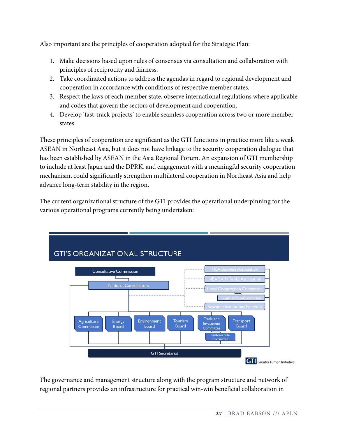Also important are the principles of cooperation adopted for the Strategic Plan:

- 1. Make decisions based upon rules of consensus via consultation and collaboration with principles of reciprocity and fairness.
- 2. Take coordinated actions to address the agendas in regard to regional development and cooperation in accordance with conditions of respective member states.
- 3. Respect the laws of each member state, observe international regulations where applicable and codes that govern the sectors of development and cooperation.
- 4. Develop 'fast-track projects' to enable seamless cooperation across two or more member states.

These principles of cooperation are significant as the GTI functions in practice more like a weak ASEAN in Northeast Asia, but it does not have linkage to the security cooperation dialogue that has been established by ASEAN in the Asia Regional Forum. An expansion of GTI membership to include at least Japan and the DPRK, and engagement with a meaningful security cooperation mechanism, could significantly strengthen multilateral cooperation in Northeast Asia and help advance long-term stability in the region.

The current organizational structure of the GTI provides the operational underpinning for the various operational programs currently being undertaken:



The governance and management structure along with the program structure and network of regional partners provides an infrastructure for practical win-win beneficial collaboration in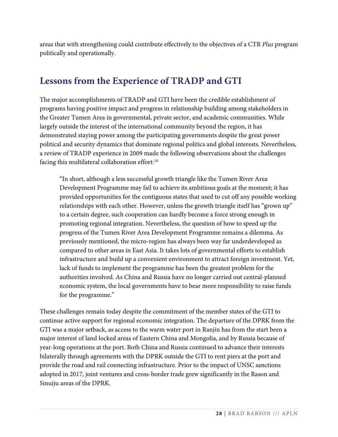areas that with strengthening could contribute effectively to the objectives of a CTR *Plus* program politically and operationally.

#### **Lessons from the Experience of TRADP and GTI**

The major accomplishments of TRADP and GTI have been the credible establishment of programs having positive impact and progress in relationship building among stakeholders in the Greater Tumen Area in governmental, private sector, and academic communities. While largely outside the interest of the international community beyond the region, it has demonstrated staying power among the participating governments despite the great power political and security dynamics that dominate regional politics and global interests. Nevertheless, a review of TRADP experience in 2009 made the following observations about the challenges facing this multilateral collaboration effort: [19](#page-5-15)

"In short, although a less successful growth triangle like the Tumen River Area Development Programme may fail to achieve its ambitious goals at the moment; it has provided opportunities for the contiguous states that used to cut off any possible working relationships with each other. However, unless the growth triangle itself has "grown up" to a certain degree, such cooperation can hardly become a force strong enough in promoting regional integration. Nevertheless, the question of how to speed up the progress of the Tumen River Area Development Programme remains a dilemma. As previously mentioned, the micro-region has always been way far underdeveloped as compared to other areas in East Asia. It takes lots of governmental efforts to establish infrastructure and build up a convenient environment to attract foreign investment. Yet, lack of funds to implement the programme has been the greatest problem for the authorities involved. As China and Russia have no longer carried out central-planned economic system, the local governments have to bear more responsibility to raise funds for the programme."

These challenges remain today despite the commitment of the member states of the GTI to continue active support for regional economic integration. The departure of the DPRK from the GTI was a major setback, as access to the warm water port in Ranjin has from the start been a major interest of land locked areas of Eastern China and Mongolia, and by Russia because of year-long operations at the port. Both China and Russia continued to advance their interests bilaterally through agreements with the DPRK outside the GTI to rent piers at the port and provide the road and rail connecting infrastructure. Prior to the impact of UNSC sanctions adopted in 2017, joint ventures and cross-border trade grew significantly in the Rason and Sinuiju areas of the DPRK.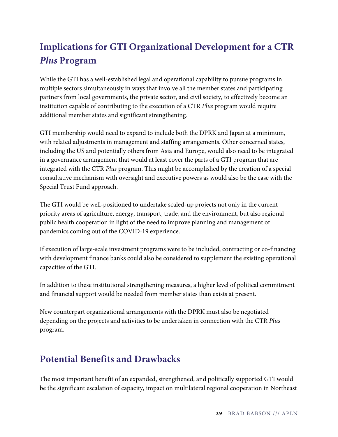# **Implications for GTI Organizational Development for a CTR**  *Plus* **Program**

While the GTI has a well-established legal and operational capability to pursue programs in multiple sectors simultaneously in ways that involve all the member states and participating partners from local governments, the private sector, and civil society, to effectively become an institution capable of contributing to the execution of a CTR *Plus* program would require additional member states and significant strengthening.

GTI membership would need to expand to include both the DPRK and Japan at a minimum, with related adjustments in management and staffing arrangements. Other concerned states, including the US and potentially others from Asia and Europe, would also need to be integrated in a governance arrangement that would at least cover the parts of a GTI program that are integrated with the CTR *Plus* program. This might be accomplished by the creation of a special consultative mechanism with oversight and executive powers as would also be the case with the Special Trust Fund approach.

The GTI would be well-positioned to undertake scaled-up projects not only in the current priority areas of agriculture, energy, transport, trade, and the environment, but also regional public health cooperation in light of the need to improve planning and management of pandemics coming out of the COVID-19 experience.

If execution of large-scale investment programs were to be included, contracting or co-financing with development finance banks could also be considered to supplement the existing operational capacities of the GTI.

In addition to these institutional strengthening measures, a higher level of political commitment and financial support would be needed from member states than exists at present.

New counterpart organizational arrangements with the DPRK must also be negotiated depending on the projects and activities to be undertaken in connection with the CTR *Plus* program.

### **Potential Benefits and Drawbacks**

The most important benefit of an expanded, strengthened, and politically supported GTI would be the significant escalation of capacity, impact on multilateral regional cooperation in Northeast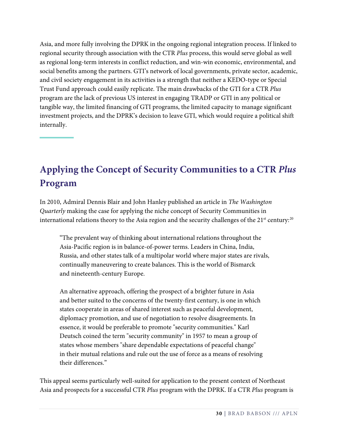Asia, and more fully involving the DPRK in the ongoing regional integration process. If linked to regional security through association with the CTR *Plus* process, this would serve global as well as regional long-term interests in conflict reduction, and win-win economic, environmental, and social benefits among the partners. GTI's network of local governments, private sector, academic, and civil society engagement in its activities is a strength that neither a KEDO-type or Special Trust Fund approach could easily replicate. The main drawbacks of the GTI for a CTR *Plus* program are the lack of previous US interest in engaging TRADP or GTI in any political or tangible way, the limited financing of GTI programs, the limited capacity to manage significant investment projects, and the DPRK's decision to leave GTI, which would require a political shift internally.

# **Applying the Concept of Security Communities to a CTR** *Plus* **Program**

In 2010, Admiral Dennis Blair and John Hanley published an article in *The Washington Quarterly* making the case for applying the niche concept of Security Communities in international relations theory to the Asia region and the security challenges of the 21st century: $^{20}$  $^{20}$  $^{20}$ 

"The prevalent way of thinking about international relations throughout the Asia-Pacific region is in balance-of-power terms. Leaders in China, India, Russia, and other states talk of a multipolar world where major states are rivals, continually maneuvering to create balances. This is the world of Bismarck and nineteenth-century Europe.

An alternative approach, offering the prospect of a brighter future in Asia and better suited to the concerns of the twenty-first century, is one in which states cooperate in areas of shared interest such as peaceful development, diplomacy promotion, and use of negotiation to resolve disagreements. In essence, it would be preferable to promote "security communities." Karl Deutsch coined the term "security community" in 1957 to mean a group of states whose members "share dependable expectations of peaceful change" in their mutual relations and rule out the use of force as a means of resolving their differences."

This appeal seems particularly well-suited for application to the present context of Northeast Asia and prospects for a successful CTR *Plus* program with the DPRK. If a CTR *Plus* program is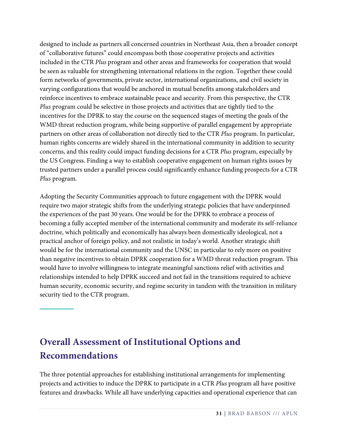designed to include as partners all concerned countries in Northeast Asia, then a broader concept of "collaborative futures" could encompass both those cooperative projects and activities included in the CTR *Plus* program and other areas and frameworks for cooperation that would be seen as valuable for strengthening international relations in the region. Together these could form networks of governments, private sector, international organizations, and civil society in varying configurations that would be anchored in mutual benefits among stakeholders and reinforce incentives to embrace sustainable peace and security. From this perspective, the CTR *Plus* program could be selective in those projects and activities that are tightly tied to the incentives for the DPRK to stay the course on the sequenced stages of meeting the goals of the WMD threat reduction program, while being supportive of parallel engagement by appropriate partners on other areas of collaboration not directly tied to the CTR *Plus* program. In particular, human rights concerns are widely shared in the international community in addition to security concerns, and this reality could impact funding decisions for a CTR *Plus* program, especially by the US Congress. Finding a way to establish cooperative engagement on human rights issues by trusted partners under a parallel process could significantly enhance funding prospects for a CTR *Plus* program.

Adopting the Security Communities approach to future engagement with the DPRK would require two major strategic shifts from the underlying strategic policies that have underpinned the experiences of the past 30 years. One would be for the DPRK to embrace a process of becoming a fully accepted member of the international community and moderate its self-reliance doctrine, which politically and economically has always been domestically ideological, not a practical anchor of foreign policy, and not realistic in today's world. Another strategic shift would be for the international community and the UNSC in particular to rely more on positive than negative incentives to obtain DPRK cooperation for a WMD threat reduction program. This would have to involve willingness to integrate meaningful sanctions relief with activities and relationships intended to help DPRK succeed and not fail in the transitions required to achieve human security, economic security, and regime security in tandem with the transition in military security tied to the CTR program.

# **Overall Assessment of Institutional Options and Recommendations**

The three potential approaches for establishing institutional arrangements for implementing projects and activities to induce the DPRK to participate in a CTR *Plus* program all have positive features and drawbacks. While all have underlying capacities and operational experience that can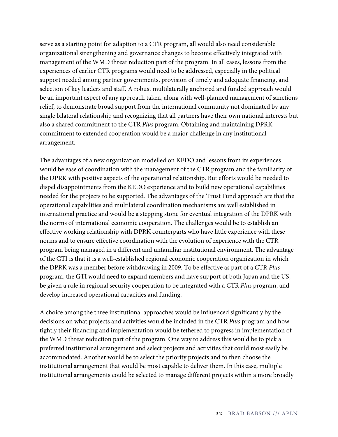serve as a starting point for adaption to a CTR program, all would also need considerable organizational strengthening and governance changes to become effectively integrated with management of the WMD threat reduction part of the program. In all cases, lessons from the experiences of earlier CTR programs would need to be addressed, especially in the political support needed among partner governments, provision of timely and adequate financing, and selection of key leaders and staff. A robust multilaterally anchored and funded approach would be an important aspect of any approach taken, along with well-planned management of sanctions relief, to demonstrate broad support from the international community not dominated by any single bilateral relationship and recognizing that all partners have their own national interests but also a shared commitment to the CTR *Plus* program. Obtaining and maintaining DPRK commitment to extended cooperation would be a major challenge in any institutional arrangement.

The advantages of a new organization modelled on KEDO and lessons from its experiences would be ease of coordination with the management of the CTR program and the familiarity of the DPRK with positive aspects of the operational relationship. But efforts would be needed to dispel disappointments from the KEDO experience and to build new operational capabilities needed for the projects to be supported. The advantages of the Trust Fund approach are that the operational capabilities and multilateral coordination mechanisms are well established in international practice and would be a stepping stone for eventual integration of the DPRK with the norms of international economic cooperation. The challenges would be to establish an effective working relationship with DPRK counterparts who have little experience with these norms and to ensure effective coordination with the evolution of experience with the CTR program being managed in a different and unfamiliar institutional environment. The advantage of the GTI is that it is a well-established regional economic cooperation organization in which the DPRK was a member before withdrawing in 2009. To be effective as part of a CTR *Plus* program, the GTI would need to expand members and have support of both Japan and the US, be given a role in regional security cooperation to be integrated with a CTR *Plus* program, and develop increased operational capacities and funding.

A choice among the three institutional approaches would be influenced significantly by the decisions on what projects and activities would be included in the CTR *Plus* program and how tightly their financing and implementation would be tethered to progress in implementation of the WMD threat reduction part of the program. One way to address this would be to pick a preferred institutional arrangement and select projects and activities that could most easily be accommodated. Another would be to select the priority projects and to then choose the institutional arrangement that would be most capable to deliver them. In this case, multiple institutional arrangements could be selected to manage different projects within a more broadly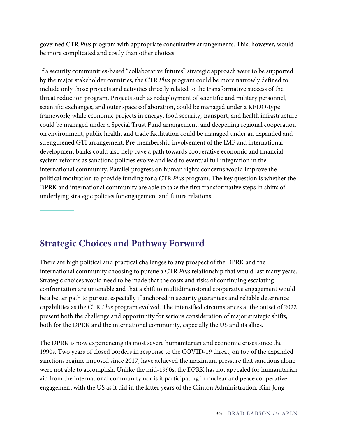governed CTR *Plus* program with appropriate consultative arrangements. This, however, would be more complicated and costly than other choices.

If a security communities-based "collaborative futures" strategic approach were to be supported by the major stakeholder countries, the CTR *Plus* program could be more narrowly defined to include only those projects and activities directly related to the transformative success of the threat reduction program. Projects such as redeployment of scientific and military personnel, scientific exchanges, and outer space collaboration, could be managed under a KEDO-type framework; while economic projects in energy, food security, transport, and health infrastructure could be managed under a Special Trust Fund arrangement; and deepening regional cooperation on environment, public health, and trade facilitation could be managed under an expanded and strengthened GTI arrangement. Pre-membership involvement of the IMF and international development banks could also help pave a path towards cooperative economic and financial system reforms as sanctions policies evolve and lead to eventual full integration in the international community. Parallel progress on human rights concerns would improve the political motivation to provide funding for a CTR *Plus* program. The key question is whether the DPRK and international community are able to take the first transformative steps in shifts of underlying strategic policies for engagement and future relations.

### **Strategic Choices and Pathway Forward**

There are high political and practical challenges to any prospect of the DPRK and the international community choosing to pursue a CTR *Plus* relationship that would last many years. Strategic choices would need to be made that the costs and risks of continuing escalating confrontation are untenable and that a shift to multidimensional cooperative engagement would be a better path to pursue, especially if anchored in security guarantees and reliable deterrence capabilities as the CTR *Plus* program evolved. The intensified circumstances at the outset of 2022 present both the challenge and opportunity for serious consideration of major strategic shifts, both for the DPRK and the international community, especially the US and its allies.

The DPRK is now experiencing its most severe humanitarian and economic crises since the 1990s. Two years of closed borders in response to the COVID-19 threat, on top of the expanded sanctions regime imposed since 2017, have achieved the maximum pressure that sanctions alone were not able to accomplish. Unlike the mid-1990s, the DPRK has not appealed for humanitarian aid from the international community nor is it participating in nuclear and peace cooperative engagement with the US as it did in the latter years of the Clinton Administration. Kim Jong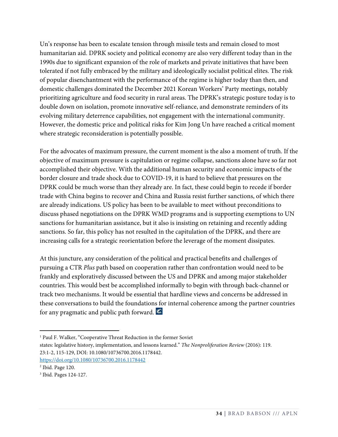Un's response has been to escalate tension through missile tests and remain closed to most humanitarian aid. DPRK society and political economy are also very different today than in the 1990s due to significant expansion of the role of markets and private initiatives that have been tolerated if not fully embraced by the military and ideologically socialist political elites. The risk of popular disenchantment with the performance of the regime is higher today than then, and domestic challenges dominated the December 2021 Korean Workers' Party meetings, notably prioritizing agriculture and food security in rural areas. The DPRK's strategic posture today is to double down on isolation, promote innovative self-reliance, and demonstrate reminders of its evolving military deterrence capabilities, not engagement with the international community. However, the domestic price and political risks for Kim Jong Un have reached a critical moment where strategic reconsideration is potentially possible.

For the advocates of maximum pressure, the current moment is the also a moment of truth. If the objective of maximum pressure is capitulation or regime collapse, sanctions alone have so far not accomplished their objective. With the additional human security and economic impacts of the border closure and trade shock due to COVID-19, it is hard to believe that pressures on the DPRK could be much worse than they already are. In fact, these could begin to recede if border trade with China begins to recover and China and Russia resist further sanctions, of which there are already indications. US policy has been to be available to meet without preconditions to discuss phased negotiations on the DPRK WMD programs and is supporting exemptions to UN sanctions for humanitarian assistance, but it also is insisting on retaining and recently adding sanctions. So far, this policy has not resulted in the capitulation of the DPRK, and there are increasing calls for a strategic reorientation before the leverage of the moment dissipates.

At this juncture, any consideration of the political and practical benefits and challenges of pursuing a CTR *Plus* path based on cooperation rather than confrontation would need to be frankly and exploratively discussed between the US and DPRK and among major stakeholder countries. This would best be accomplished informally to begin with through back-channel or track two mechanisms. It would be essential that hardline views and concerns be addressed in these conversations to build the foundations for internal coherence among the partner countries for any pragmatic and public path forward.

 $\overline{a}$ 

<sup>&</sup>lt;sup>1</sup> Paul F. Walker, "Cooperative Threat Reduction in the former Soviet

states: legislative history, implementation, and lessons learned." *The Nonproliferation Review* (2016): 119. 23:1-2, 115-129, DOI: 10.1080/10736700.2016.1178442. <https://doi.org/10.1080/10736700.2016.1178442>

<sup>2</sup> Ibid. Page 120.

<sup>3</sup> Ibid. Pages 124-127.